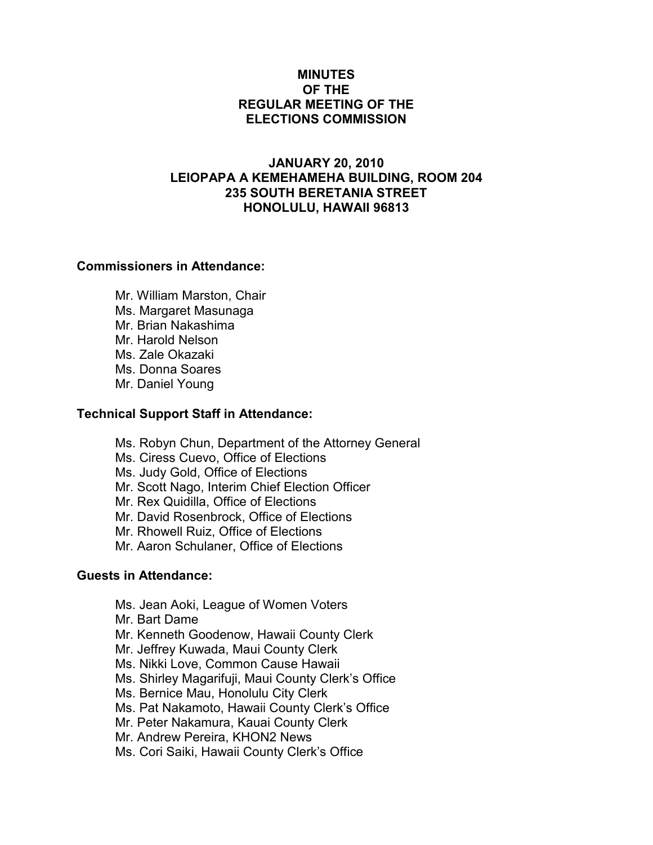# MINUTES OF THE REGULAR MEETING OF THE ELECTIONS COMMISSION

# JANUARY 20, 2010 LEIOPAPA A KEMEHAMEHA BUILDING, ROOM 204 235 SOUTH BERETANIA STREET HONOLULU, HAWAII 96813

#### Commissioners in Attendance:

 Mr. William Marston, Chair Ms. Margaret Masunaga Mr. Brian Nakashima Mr. Harold Nelson Ms. Zale Okazaki Ms. Donna Soares Mr. Daniel Young

#### Technical Support Staff in Attendance:

Ms. Robyn Chun, Department of the Attorney General

Ms. Ciress Cuevo, Office of Elections

Ms. Judy Gold, Office of Elections

Mr. Scott Nago, Interim Chief Election Officer

Mr. Rex Quidilla, Office of Elections

Mr. David Rosenbrock, Office of Elections

Mr. Rhowell Ruiz, Office of Elections

Mr. Aaron Schulaner, Office of Elections

# Guests in Attendance:

Ms. Jean Aoki, League of Women Voters

Mr. Bart Dame

Mr. Kenneth Goodenow, Hawaii County Clerk

Mr. Jeffrey Kuwada, Maui County Clerk

Ms. Nikki Love, Common Cause Hawaii

Ms. Shirley Magarifuji, Maui County Clerk's Office

Ms. Bernice Mau, Honolulu City Clerk

Ms. Pat Nakamoto, Hawaii County Clerk's Office

Mr. Peter Nakamura, Kauai County Clerk

Mr. Andrew Pereira, KHON2 News

Ms. Cori Saiki, Hawaii County Clerk's Office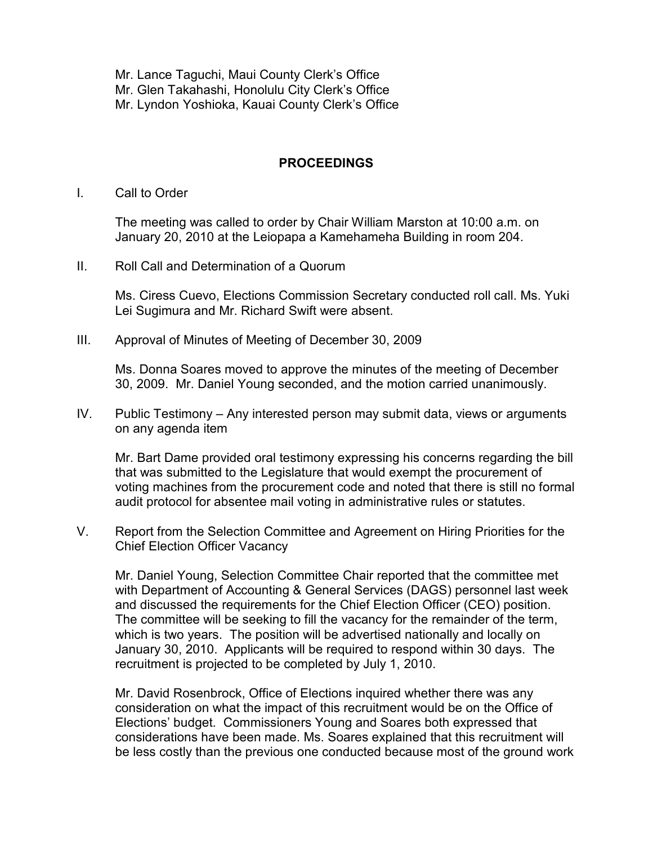Mr. Lance Taguchi, Maui County Clerk's Office Mr. Glen Takahashi, Honolulu City Clerk's Office Mr. Lyndon Yoshioka, Kauai County Clerk's Office

# PROCEEDINGS

I. Call to Order

The meeting was called to order by Chair William Marston at 10:00 a.m. on January 20, 2010 at the Leiopapa a Kamehameha Building in room 204.

II. Roll Call and Determination of a Quorum

Ms. Ciress Cuevo, Elections Commission Secretary conducted roll call. Ms. Yuki Lei Sugimura and Mr. Richard Swift were absent.

III. Approval of Minutes of Meeting of December 30, 2009

Ms. Donna Soares moved to approve the minutes of the meeting of December 30, 2009. Mr. Daniel Young seconded, and the motion carried unanimously.

IV. Public Testimony – Any interested person may submit data, views or arguments on any agenda item

Mr. Bart Dame provided oral testimony expressing his concerns regarding the bill that was submitted to the Legislature that would exempt the procurement of voting machines from the procurement code and noted that there is still no formal audit protocol for absentee mail voting in administrative rules or statutes.

V. Report from the Selection Committee and Agreement on Hiring Priorities for the Chief Election Officer Vacancy

 Mr. Daniel Young, Selection Committee Chair reported that the committee met with Department of Accounting & General Services (DAGS) personnel last week and discussed the requirements for the Chief Election Officer (CEO) position. The committee will be seeking to fill the vacancy for the remainder of the term, which is two years. The position will be advertised nationally and locally on January 30, 2010. Applicants will be required to respond within 30 days. The recruitment is projected to be completed by July 1, 2010.

 Mr. David Rosenbrock, Office of Elections inquired whether there was any consideration on what the impact of this recruitment would be on the Office of Elections' budget. Commissioners Young and Soares both expressed that considerations have been made. Ms. Soares explained that this recruitment will be less costly than the previous one conducted because most of the ground work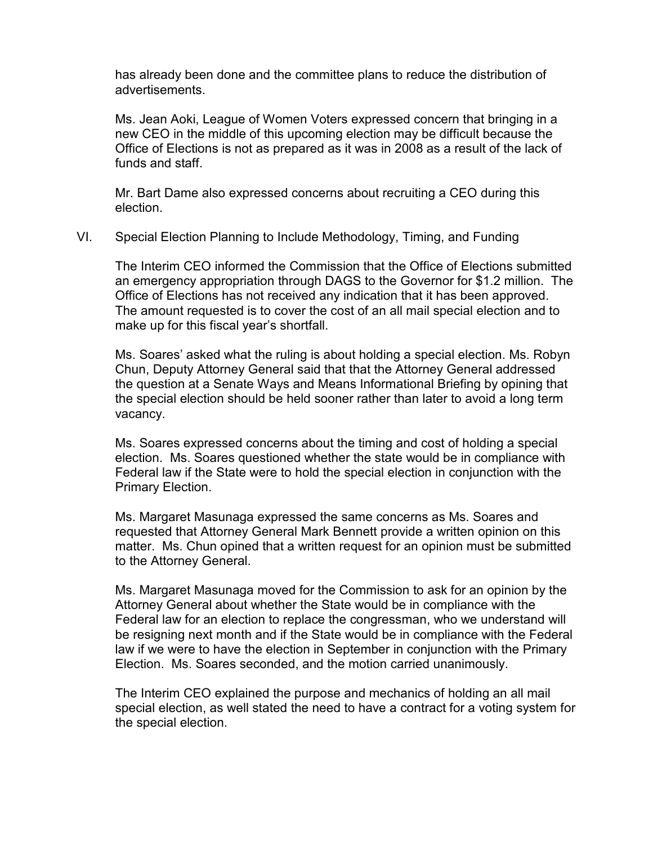has already been done and the committee plans to reduce the distribution of advertisements.

 Ms. Jean Aoki, League of Women Voters expressed concern that bringing in a new CEO in the middle of this upcoming election may be difficult because the Office of Elections is not as prepared as it was in 2008 as a result of the lack of funds and staff.

 Mr. Bart Dame also expressed concerns about recruiting a CEO during this election.

VI. Special Election Planning to Include Methodology, Timing, and Funding

The Interim CEO informed the Commission that the Office of Elections submitted an emergency appropriation through DAGS to the Governor for \$1.2 million. The Office of Elections has not received any indication that it has been approved. The amount requested is to cover the cost of an all mail special election and to make up for this fiscal year's shortfall.

Ms. Soares' asked what the ruling is about holding a special election. Ms. Robyn Chun, Deputy Attorney General said that that the Attorney General addressed the question at a Senate Ways and Means Informational Briefing by opining that the special election should be held sooner rather than later to avoid a long term vacancy.

Ms. Soares expressed concerns about the timing and cost of holding a special election. Ms. Soares questioned whether the state would be in compliance with Federal law if the State were to hold the special election in conjunction with the Primary Election.

Ms. Margaret Masunaga expressed the same concerns as Ms. Soares and requested that Attorney General Mark Bennett provide a written opinion on this matter. Ms. Chun opined that a written request for an opinion must be submitted to the Attorney General.

Ms. Margaret Masunaga moved for the Commission to ask for an opinion by the Attorney General about whether the State would be in compliance with the Federal law for an election to replace the congressman, who we understand will be resigning next month and if the State would be in compliance with the Federal law if we were to have the election in September in conjunction with the Primary Election. Ms. Soares seconded, and the motion carried unanimously.

The Interim CEO explained the purpose and mechanics of holding an all mail special election, as well stated the need to have a contract for a voting system for the special election.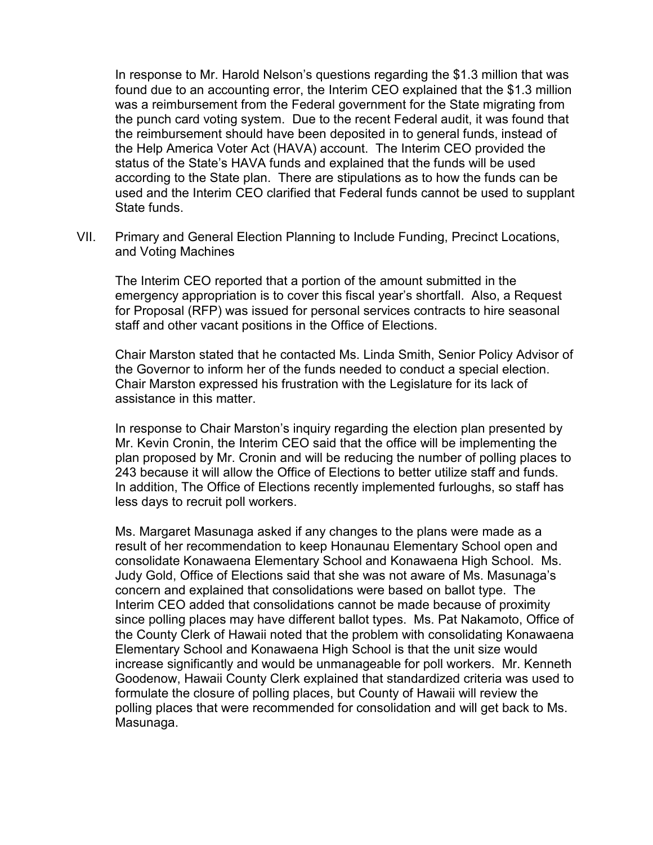In response to Mr. Harold Nelson's questions regarding the \$1.3 million that was found due to an accounting error, the Interim CEO explained that the \$1.3 million was a reimbursement from the Federal government for the State migrating from the punch card voting system. Due to the recent Federal audit, it was found that the reimbursement should have been deposited in to general funds, instead of the Help America Voter Act (HAVA) account. The Interim CEO provided the status of the State's HAVA funds and explained that the funds will be used according to the State plan. There are stipulations as to how the funds can be used and the Interim CEO clarified that Federal funds cannot be used to supplant State funds.

VII. Primary and General Election Planning to Include Funding, Precinct Locations, and Voting Machines

The Interim CEO reported that a portion of the amount submitted in the emergency appropriation is to cover this fiscal year's shortfall. Also, a Request for Proposal (RFP) was issued for personal services contracts to hire seasonal staff and other vacant positions in the Office of Elections.

Chair Marston stated that he contacted Ms. Linda Smith, Senior Policy Advisor of the Governor to inform her of the funds needed to conduct a special election. Chair Marston expressed his frustration with the Legislature for its lack of assistance in this matter.

In response to Chair Marston's inquiry regarding the election plan presented by Mr. Kevin Cronin, the Interim CEO said that the office will be implementing the plan proposed by Mr. Cronin and will be reducing the number of polling places to 243 because it will allow the Office of Elections to better utilize staff and funds. In addition, The Office of Elections recently implemented furloughs, so staff has less days to recruit poll workers.

Ms. Margaret Masunaga asked if any changes to the plans were made as a result of her recommendation to keep Honaunau Elementary School open and consolidate Konawaena Elementary School and Konawaena High School. Ms. Judy Gold, Office of Elections said that she was not aware of Ms. Masunaga's concern and explained that consolidations were based on ballot type. The Interim CEO added that consolidations cannot be made because of proximity since polling places may have different ballot types. Ms. Pat Nakamoto, Office of the County Clerk of Hawaii noted that the problem with consolidating Konawaena Elementary School and Konawaena High School is that the unit size would increase significantly and would be unmanageable for poll workers. Mr. Kenneth Goodenow, Hawaii County Clerk explained that standardized criteria was used to formulate the closure of polling places, but County of Hawaii will review the polling places that were recommended for consolidation and will get back to Ms. Masunaga.